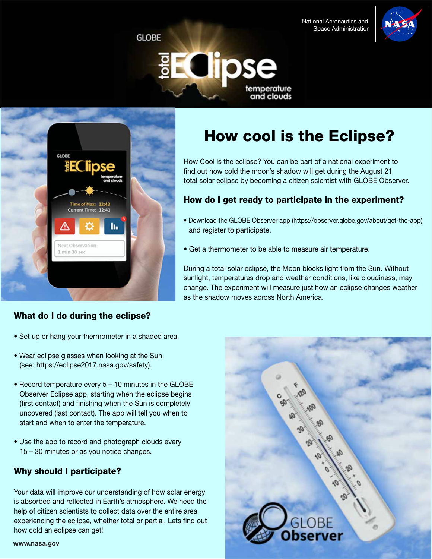National Aeronautics and Space Administration

How cool is the Eclipse?

How Cool is the eclipse? You can be part of a national experiment to find out how cold the moon's shadow will get during the August 21 total solar eclipse by becoming a citizen scientist with GLOBE Observer.

How do I get ready to participate in the experiment?

• Get a thermometer to be able to measure air temperature.

as the shadow moves across North America.

• Download the GLOBE Observer app (https://observer.globe.gov/about/get-the-app)

During a total solar eclipse, the Moon blocks light from the Sun. Without sunlight, temperatures drop and weather conditions, like cloudiness, may change. The experiment will measure just how an eclipse changes weather





and register to participate.



## What do I do during the eclipse?

- Set up or hang your thermometer in a shaded area.
- Wear eclipse glasses when looking at the Sun. (see: https://eclipse2017.nasa.gov/safety).
- Record temperature every 5 10 minutes in the GLOBE Observer Eclipse app, starting when the eclipse begins (first contact) and finishing when the Sun is completely uncovered (last contact). The app will tell you when to start and when to enter the temperature.
- Use the app to record and photograph clouds every 15 – 30 minutes or as you notice changes.

# Why should I participate?

Your data will improve our understanding of how solar energy is absorbed and reflected in Earth's atmosphere. We need the help of citizen scientists to collect data over the entire area experiencing the eclipse, whether total or partial. Lets find out how cold an eclipse can get!

### **www.nasa.gov**